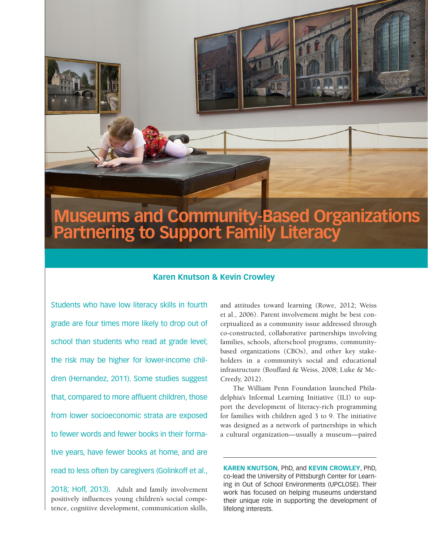# **Museums and Community-Based Organizations Partnering to Support Family Literacy**

## **Karen Knutson & Kevin Crowley**

Students who have low literacy skills in fourth grade are four times more likely to drop out of school than students who read at grade level; the risk may be higher for lower-income children (Hernandez, 2011). Some studies suggest that, compared to more affluent children, those from lower socioeconomic strata are exposed to fewer words and fewer books in their formative years, have fewer books at home, and are read to less often by caregivers (Golinkoff et al.,

2018; Hoff, 2013). Adult and family involvement positively influences young children's social competence, cognitive development, communication skills,

and attitudes toward learning (Rowe, 2012; Weiss et al., 2006). Parent involvement might be best conceptualized as a community issue addressed through co-constructed, collaborative partnerships involving families, schools, afterschool programs, communitybased organizations (CBOs), and other key stakeholders in a community's social and educational infrastructure (Bouffard & Weiss, 2008; Luke & Mc-Creedy, 2012).

The William Penn Foundation launched Philadelphia's Informal Learning Initiative (ILI) to support the development of literacy-rich programming for families with children aged 3 to 9. The initiative was designed as a network of partnerships in which a cultural organization—usually a museum—paired

**KAREN KNUTSON**, PhD, and **KEVIN CROWLEY**, PhD, co-lead the University of Pittsburgh Center for Learning in Out of School Environments (UPCLOSE). Their work has focused on helping museums understand their unique role in supporting the development of lifelong interests.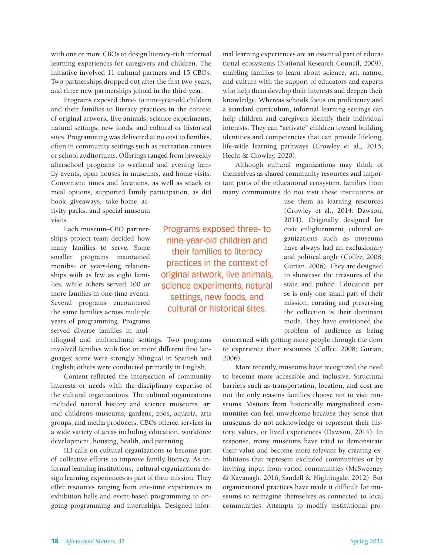with one or more CBOs to design literacy-rich informal learning experiences for caregivers and children. The initiative involved 11 cultural partners and 15 CBOs. Two partnerships dropped out after the first two years, and three new partnerships joined in the third year.

Programs exposed three- to nine-year-old children and their families to literacy practices in the context of original artwork, live animals, science experiments, natural settings, new foods, and cultural or historical sites. Programming was delivered at no cost to families, often in community settings such as recreation centers or school auditoriums. Offerings ranged from biweekly afterschool programs to weekend and evening family events, open houses in museums, and home visits. Convenient times and locations, as well as snack or meal options, supported family participation, as did

book giveaways, take-home activity packs, and special museum visits.

Each museum–CBO partnership's project team decided how many families to serve. Some smaller programs maintained months- or years-long relationships with as few as eight families, while others served 100 or more families in one-time events. Several programs encountered the same families across multiple years of programming. Programs served diverse families in mul-

tilingual and multicultural settings. Two programs involved families with five or more different first languages; some were strongly bilingual in Spanish and English; others were conducted primarily in English.

Content reflected the intersection of community interests or needs with the disciplinary expertise of the cultural organizations. The cultural organizations included natural history and science museums, art and children's museums, gardens, zoos, aquaria, arts groups, and media producers. CBOs offered services in a wide variety of areas including education, workforce development, housing, health, and parenting.

ILI calls on cultural organizations to become part of collective efforts to improve family literacy. As informal learning institutions, cultural organizations design learning experiences as part of their mission. They offer resources ranging from one-time experiences in exhibition halls and event-based programming to ongoing programming and internships. Designed infor-

Programs exposed three- to nine-year-old children and their families to literacy practices in the context of original artwork, live animals, science experiments, natural settings, new foods, and cultural or historical sites.

mal learning experiences are an essential part of educational ecosystems (National Research Council, 2009), enabling families to learn about science, art, nature, and culture with the support of educators and experts who help them develop their interests and deepen their knowledge. Whereas schools focus on proficiency and a standard curriculum, informal learning settings can help children and caregivers identify their individual interests. They can "activate" children toward building identities and competencies that can provide lifelong, life-wide learning pathways (Crowley et al., 2015; Hecht & Crowley, 2020).

Although cultural organizations may think of themselves as shared community resources and important parts of the educational ecosystem, families from many communities do not visit these institutions or

> use them as learning resources (Crowley et al., 2014; Dawson, 2014). Originally designed for civic enlightenment, cultural organizations such as museums have always had an exclusionary and political angle (Coffee, 2008; Gurian, 2006). They are designed to showcase the treasures of the state and public. Education per se is only one small part of their mission; curating and preserving the collection is their dominant mode. They have envisioned the problem of audience as being

concerned with getting more people through the door to experience their resources (Coffee, 2008; Gurian, 2006).

More recently, museums have recognized the need to become more accessible and inclusive. Structural barriers such as transportation, location, and cost are not the only reasons families choose not to visit museums. Visitors from historically marginalized communities can feel unwelcome because they sense that museums do not acknowledge or represent their history, values, or lived experiences (Dawson, 2014). In response, many museums have tried to demonstrate their value and become more relevant by creating exhibitions that represent excluded communities or by inviting input from varied communities (McSweeney & Kavanagh, 2016; Sandell & Nightingale, 2012). But organizational practices have made it difficult for museums to reimagine themselves as connected to local communities. Attempts to modify institutional pro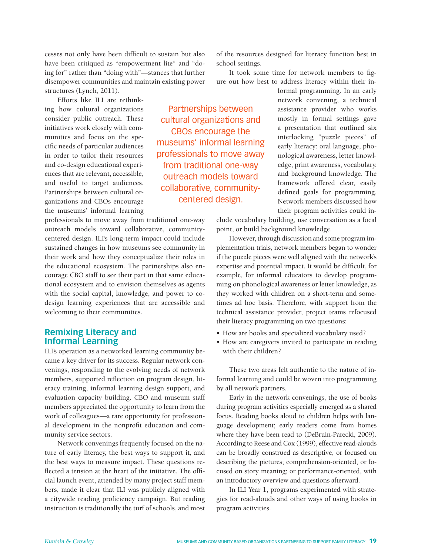cesses not only have been difficult to sustain but also have been critiqued as "empowerment lite" and "doing for" rather than "doing with"—stances that further disempower communities and maintain existing power structures (Lynch, 2011).

Efforts like ILI are rethinking how cultural organizations consider public outreach. These initiatives work closely with communities and focus on the specific needs of particular audiences in order to tailor their resources and co-design educational experiences that are relevant, accessible, and useful to target audiences. Partnerships between cultural organizations and CBOs encourage the museums' informal learning

professionals to move away from traditional one-way outreach models toward collaborative, communitycentered design. ILI's long-term impact could include sustained changes in how museums see community in their work and how they conceptualize their roles in the educational ecosystem. The partnerships also encourage CBO staff to see their part in that same educational ecosystem and to envision themselves as agents with the social capital, knowledge, and power to codesign learning experiences that are accessible and welcoming to their communities.

## **Remixing Literacy and Informal Learning**

ILI's operation as a networked learning community became a key driver for its success. Regular network convenings, responding to the evolving needs of network members, supported reflection on program design, literacy training, informal learning design support, and evaluation capacity building. CBO and museum staff members appreciated the opportunity to learn from the work of colleagues—a rare opportunity for professional development in the nonprofit education and community service sectors.

Network convenings frequently focused on the nature of early literacy, the best ways to support it, and the best ways to measure impact. These questions reflected a tension at the heart of the initiative. The official launch event, attended by many project staff members, made it clear that ILI was publicly aligned with a citywide reading proficiency campaign. But reading instruction is traditionally the turf of schools, and most

Partnerships between cultural organizations and CBOs encourage the museums' informal learning professionals to move away from traditional one-way outreach models toward collaborative, communitycentered design.

of the resources designed for literacy function best in school settings.

It took some time for network members to figure out how best to address literacy within their in-

> formal programming. In an early network convening, a technical assistance provider who works mostly in formal settings gave a presentation that outlined six interlocking "puzzle pieces" of early literacy: oral language, phonological awareness, letter knowledge, print awareness, vocabulary, and background knowledge. The framework offered clear, easily defined goals for programming. Network members discussed how their program activities could in-

clude vocabulary building, use conversation as a focal point, or build background knowledge.

However, through discussion and some program implementation trials, network members began to wonder if the puzzle pieces were well aligned with the network's expertise and potential impact. It would be difficult, for example, for informal educators to develop programming on phonological awareness or letter knowledge, as they worked with children on a short-term and sometimes ad hoc basis. Therefore, with support from the technical assistance provider, project teams refocused their literacy programming on two questions:

- How are books and specialized vocabulary used?
- How are caregivers invited to participate in reading with their children?

These two areas felt authentic to the nature of informal learning and could be woven into programming by all network partners.

Early in the network convenings, the use of books during program activities especially emerged as a shared focus. Reading books aloud to children helps with language development; early readers come from homes where they have been read to (DeBruin-Parecki, 2009). According to Reese and Cox (1999), effective read-alouds can be broadly construed as descriptive, or focused on describing the pictures; comprehension-oriented, or focused on story meaning; or performance-oriented, with an introductory overview and questions afterward.

In ILI Year 1, programs experimented with strategies for read-alouds and other ways of using books in program activities.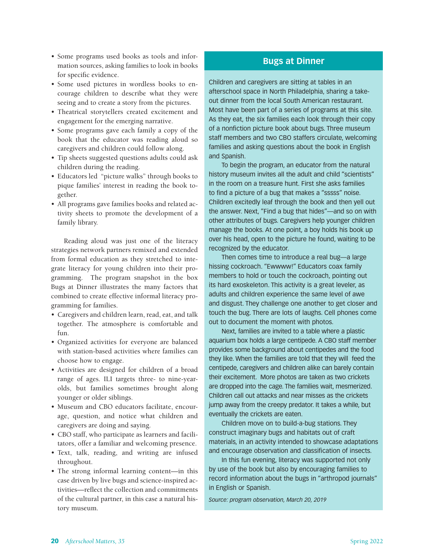- Some programs used books as tools and information sources, asking families to look in books for specific evidence.
- Some used pictures in wordless books to encourage children to describe what they were seeing and to create a story from the pictures.
- Theatrical storytellers created excitement and engagement for the emerging narrative.
- Some programs gave each family a copy of the book that the educator was reading aloud so caregivers and children could follow along.
- Tip sheets suggested questions adults could ask children during the reading.
- Educators led "picture walks" through books to pique families' interest in reading the book together.
- All programs gave families books and related activity sheets to promote the development of a family library.

Reading aloud was just one of the literacy strategies network partners remixed and extended from formal education as they stretched to integrate literacy for young children into their programming. The program snapshot in the box Bugs at Dinner illustrates the many factors that combined to create effective informal literacy programming for families.

- Caregivers and children learn, read, eat, and talk together. The atmosphere is comfortable and fun.
- Organized activities for everyone are balanced with station-based activities where families can choose how to engage.
- Activities are designed for children of a broad range of ages. ILI targets three- to nine-yearolds, but families sometimes brought along younger or older siblings.
- Museum and CBO educators facilitate, encourage, question, and notice what children and caregivers are doing and saying.
- CBO staff, who participate as learners and facilitators, offer a familiar and welcoming presence.
- Text, talk, reading, and writing are infused throughout.
- The strong informal learning content—in this case driven by live bugs and science-inspired activities—reflect the collection and commitments of the cultural partner, in this case a natural history museum.

## **Bugs at Dinner**

Children and caregivers are sitting at tables in an afterschool space in North Philadelphia, sharing a takeout dinner from the local South American restaurant. Most have been part of a series of programs at this site. As they eat, the six families each look through their copy of a nonfiction picture book about bugs. Three museum staff members and two CBO staffers circulate, welcoming families and asking questions about the book in English and Spanish.

To begin the program, an educator from the natural history museum invites all the adult and child "scientists" in the room on a treasure hunt. First she asks families to find a picture of a bug that makes a "sssss" noise. Children excitedly leaf through the book and then yell out the answer. Next, "Find a bug that hides"—and so on with other attributes of bugs. Caregivers help younger children manage the books. At one point, a boy holds his book up over his head, open to the picture he found, waiting to be recognized by the educator.

Then comes time to introduce a real bug—a large hissing cockroach. "Ewwww!" Educators coax family members to hold or touch the cockroach, pointing out its hard exoskeleton. This activity is a great leveler, as adults and children experience the same level of awe and disgust. They challenge one another to get closer and touch the bug. There are lots of laughs. Cell phones come out to document the moment with photos.

Next, families are invited to a table where a plastic aquarium box holds a large centipede. A CBO staff member provides some background about centipedes and the food they like. When the families are told that they will feed the centipede, caregivers and children alike can barely contain their excitement. More photos are taken as two crickets are dropped into the cage. The families wait, mesmerized. Children call out attacks and near misses as the crickets jump away from the creepy predator. It takes a while, but eventually the crickets are eaten.

Children move on to build-a-bug stations. They construct imaginary bugs and habitats out of craft materials, in an activity intended to showcase adaptations and encourage observation and classification of insects.

In this fun evening, literacy was supported not only by use of the book but also by encouraging families to record information about the bugs in "arthropod journals" in English or Spanish.

*Source: program observation, March 20, 2019*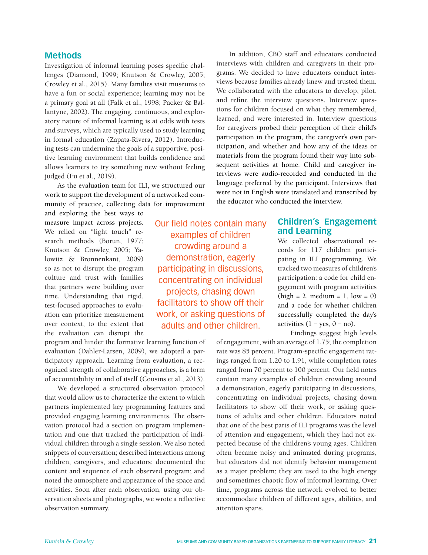#### **Methods**

Investigation of informal learning poses specific challenges (Diamond, 1999; Knutson & Crowley, 2005; Crowley et al., 2015). Many families visit museums to have a fun or social experience; learning may not be a primary goal at all (Falk et al., 1998; Packer & Ballantyne, 2002). The engaging, continuous, and exploratory nature of informal learning is at odds with tests and surveys, which are typically used to study learning in formal education (Zapata-Rivera, 2012). Introducing tests can undermine the goals of a supportive, positive learning environment that builds confidence and allows learners to try something new without feeling judged (Fu et al., 2019).

As the evaluation team for ILI, we structured our work to support the development of a networked community of practice, collecting data for improvement

and exploring the best ways to measure impact across projects. We relied on "light touch" research methods (Borun, 1977; Knutson & Crowley, 2005; Yalowitz & Bronnenkant, 2009) so as not to disrupt the program culture and trust with families that partners were building over time. Understanding that rigid, test-focused approaches to evaluation can prioritize measurement over context, to the extent that the evaluation can disrupt the

program and hinder the formative learning function of evaluation (Dahler-Larsen, 2009), we adopted a participatory approach. Learning from evaluation, a recognized strength of collaborative approaches, is a form of accountability in and of itself (Cousins et al., 2013).

We developed a structured observation protocol that would allow us to characterize the extent to which partners implemented key programming features and provided engaging learning environments. The observation protocol had a section on program implementation and one that tracked the participation of individual children through a single session. We also noted snippets of conversation; described interactions among children, caregivers, and educators; documented the content and sequence of each observed program; and noted the atmosphere and appearance of the space and activities. Soon after each observation, using our observation sheets and photographs, we wrote a reflective observation summary.

Our field notes contain many examples of children crowding around a demonstration, eagerly participating in discussions, concentrating on individual projects, chasing down facilitators to show off their work, or asking questions of adults and other children.

In addition, CBO staff and educators conducted interviews with children and caregivers in their programs. We decided to have educators conduct interviews because families already knew and trusted them. We collaborated with the educators to develop, pilot, and refine the interview questions. Interview questions for children focused on what they remembered, learned, and were interested in. Interview questions for caregivers probed their perception of their child's participation in the program, the caregiver's own participation, and whether and how any of the ideas or materials from the program found their way into subsequent activities at home. Child and caregiver interviews were audio-recorded and conducted in the language preferred by the participant. Interviews that were not in English were translated and transcribed by the educator who conducted the interview.

## **Children's Engagement and Learning**

We collected observational records for 117 children participating in ILI programming. We tracked two measures of children's participation: a code for child engagement with program activities  $(high = 2, medium = 1, low = 0)$ and a code for whether children successfully completed the day's activities  $(1 = yes, 0 = no)$ .

Findings suggest high levels

of engagement, with an average of 1.75; the completion rate was 85 percent. Program-specific engagement ratings ranged from 1.20 to 1.91, while completion rates ranged from 70 percent to 100 percent. Our field notes contain many examples of children crowding around a demonstration, eagerly participating in discussions, concentrating on individual projects, chasing down facilitators to show off their work, or asking questions of adults and other children. Educators noted that one of the best parts of ILI programs was the level of attention and engagement, which they had not expected because of the children's young ages. Children often became noisy and animated during programs, but educators did not identify behavior management as a major problem; they are used to the high energy and sometimes chaotic flow of informal learning. Over time, programs across the network evolved to better accommodate children of different ages, abilities, and attention spans.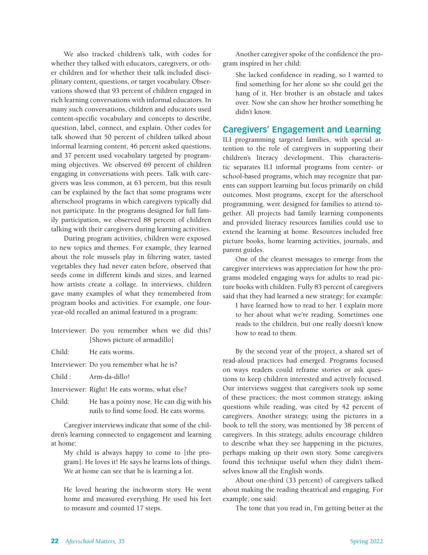We also tracked children's talk, with codes for whether they talked with educators, caregivers, or other children and for whether their talk included disciplinary content, questions, or target vocabulary. Observations showed that 93 percent of children engaged in rich learning conversations with informal educators. In many such conversations, children and educators used content-specific vocabulary and concepts to describe, question, label, connect, and explain. Other codes for talk showed that 50 percent of children talked about informal learning content, 46 percent asked questions, and 37 percent used vocabulary targeted by programming objectives. We observed 69 percent of children engaging in conversations with peers. Talk with caregivers was less common, at 63 percent, but this result can be explained by the fact that some programs were afterschool programs in which caregivers typically did not participate. In the programs designed for full family participation, we observed 88 percent of children talking with their caregivers during learning activities.

During program activities, children were exposed to new topics and themes. For example, they learned about the role mussels play in filtering water, tasted vegetables they had never eaten before, observed that seeds come in different kinds and sizes, and learned how artists create a collage. In interviews, children gave many examples of what they remembered from program books and activities. For example, one fouryear-old recalled an animal featured in a program:

- Interviewer: Do you remember when we did this? [Shows picture of armadillo]
- Child: He eats worms.
- Interviewer: Do you remember what he is?
- Child : Arm-da-dillo!
- Interviewer: Right! He eats worms, what else?
- Child: He has a pointy nose. He can dig with his nails to find some food. He eats worms.

Caregiver interviews indicate that some of the children's learning connected to engagement and learning at home:

My child is always happy to come to [the program]. He loves it! He says he learns lots of things. We at home can see that he is learning a lot.

He loved hearing the inchworm story. He went home and measured everything. He used his feet to measure and counted 17 steps.

Another caregiver spoke of the confidence the program inspired in her child:

She lacked confidence in reading, so I wanted to find something for her alone so she could get the hang of it. Her brother is an obstacle and takes over. Now she can show her brother something he didn't know.

## **Caregivers' Engagement and Learning**

ILI programming targeted families, with special attention to the role of caregivers in supporting their children's literacy development. This characteristic separates ILI informal programs from center- or school-based programs, which may recognize that parents can support learning but focus primarily on child outcomes. Most programs, except for the afterschool programming, were designed for families to attend together. All projects had family learning components and provided literacy resources families could use to extend the learning at home. Resources included free picture books, home learning activities, journals, and parent guides.

One of the clearest messages to emerge from the caregiver interviews was appreciation for how the programs modeled engaging ways for adults to read picture books with children. Fully 83 percent of caregivers said that they had learned a new strategy; for example:

I have learned how to read to her. I explain more to her about what we're reading. Sometimes one reads to the children, but one really doesn't know how to read to them.

By the second year of the project, a shared set of read-aloud practices had emerged. Programs focused on ways readers could reframe stories or ask questions to keep children interested and actively focused. Our interviews suggest that caregivers took up some of these practices; the most common strategy, asking questions while reading, was cited by 42 percent of caregivers. Another strategy, using the pictures in a book to tell the story, was mentioned by 38 percent of caregivers. In this strategy, adults encourage children to describe what they see happening in the pictures, perhaps making up their own story. Some caregivers found this technique useful when they didn't themselves know all the English words.

About one-third (33 percent) of caregivers talked about making the reading theatrical and engaging. For example, one said:

The tone that you read in, I'm getting better at the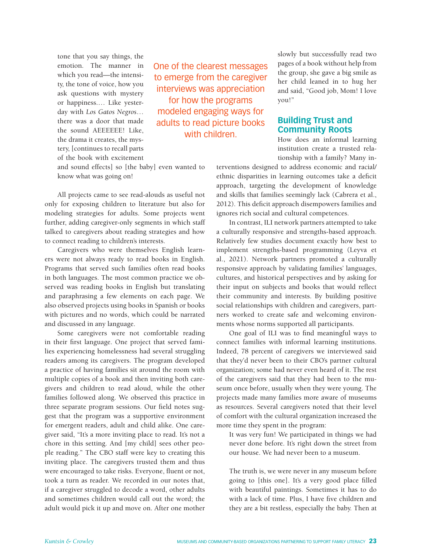tone that you say things, the emotion. The manner in which you read—the intensity, the tone of voice, how you ask questions with mystery or happiness.… Like yesterday with *Los Gatos Negros*… there was a door that made the sound AEEEEEE! Like, the drama it creates, the mystery, [continues to recall parts of the book with excitement

One of the clearest messages to emerge from the caregiver interviews was appreciation for how the programs modeled engaging ways for adults to read picture books with children.

and sound effects] so [the baby] even wanted to know what was going on!

All projects came to see read-alouds as useful not only for exposing children to literature but also for modeling strategies for adults. Some projects went further, adding caregiver-only segments in which staff talked to caregivers about reading strategies and how to connect reading to children's interests.

Caregivers who were themselves English learners were not always ready to read books in English. Programs that served such families often read books in both languages. The most common practice we observed was reading books in English but translating and paraphrasing a few elements on each page. We also observed projects using books in Spanish or books with pictures and no words, which could be narrated and discussed in any language.

Some caregivers were not comfortable reading in their first language. One project that served families experiencing homelessness had several struggling readers among its caregivers. The program developed a practice of having families sit around the room with multiple copies of a book and then inviting both caregivers and children to read aloud, while the other families followed along. We observed this practice in three separate program sessions. Our field notes suggest that the program was a supportive environment for emergent readers, adult and child alike. One caregiver said, "It's a more inviting place to read. It's not a chore in this setting. And [my child] sees other people reading." The CBO staff were key to creating this inviting place. The caregivers trusted them and thus were encouraged to take risks. Everyone, fluent or not, took a turn as reader. We recorded in our notes that, if a caregiver struggled to decode a word, other adults and sometimes children would call out the word; the adult would pick it up and move on. After one mother

slowly but successfully read two pages of a book without help from the group, she gave a big smile as her child leaned in to hug her and said, "Good job, Mom! I love you!"

### **Building Trust and Community Roots**

How does an informal learning institution create a trusted relationship with a family? Many in-

terventions designed to address economic and racial/ ethnic disparities in learning outcomes take a deficit approach, targeting the development of knowledge and skills that families seemingly lack (Cabrera et al., 2012). This deficit approach disempowers families and ignores rich social and cultural competences.

In contrast, ILI network partners attempted to take a culturally responsive and strengths-based approach. Relatively few studies document exactly how best to implement strengths-based programming (Leyva et al., 2021). Network partners promoted a culturally responsive approach by validating families' languages, cultures, and historical perspectives and by asking for their input on subjects and books that would reflect their community and interests. By building positive social relationships with children and caregivers, partners worked to create safe and welcoming environments whose norms supported all participants.

One goal of ILI was to find meaningful ways to connect families with informal learning institutions. Indeed, 78 percent of caregivers we interviewed said that they'd never been to their CBO's partner cultural organization; some had never even heard of it. The rest of the caregivers said that they had been to the museum once before, usually when they were young. The projects made many families more aware of museums as resources. Several caregivers noted that their level of comfort with the cultural organization increased the more time they spent in the program:

It was very fun! We participated in things we had never done before. It's right down the street from our house. We had never been to a museum.

The truth is, we were never in any museum before going to [this one]. It's a very good place filled with beautiful paintings. Sometimes it has to do with a lack of time. Plus, I have five children and they are a bit restless, especially the baby. Then at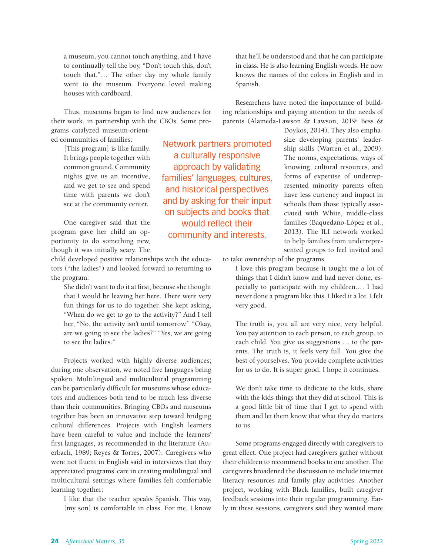a museum, you cannot touch anything, and I have to continually tell the boy, "Don't touch this, don't touch that."… The other day my whole family went to the museum. Everyone loved making houses with cardboard.

Thus, museums began to find new audiences for their work, in partnership with the CBOs. Some programs catalyzed museum-orient-

ed communities of families:

[This program] is like family. It brings people together with common ground. Community nights give us an incentive, and we get to see and spend time with parents we don't see at the community center.

One caregiver said that the program gave her child an opportunity to do something new, though it was initially scary. The

child developed positive relationships with the educators ("the ladies") and looked forward to returning to the program:

She didn't want to do it at first, because she thought that I would be leaving her here. There were very fun things for us to do together. She kept asking, "When do we get to go to the activity?" And I tell her, "No, the activity isn't until tomorrow." "Okay, are we going to see the ladies?" "Yes, we are going to see the ladies."

Projects worked with highly diverse audiences; during one observation, we noted five languages being spoken. Multilingual and multicultural programming can be particularly difficult for museums whose educators and audiences both tend to be much less diverse than their communities. Bringing CBOs and museums together has been an innovative step toward bridging cultural differences. Projects with English learners have been careful to value and include the learners' first languages, as recommended in the literature (Auerbach, 1989; Reyes & Torres, 2007). Caregivers who were not fluent in English said in interviews that they appreciated programs' care in creating multilingual and multicultural settings where families felt comfortable learning together:

I like that the teacher speaks Spanish. This way, [my son] is comfortable in class. For me, I know

that he'll be understood and that he can participate in class. He is also learning English words. He now knows the names of the colors in English and in Spanish.

Researchers have noted the importance of building relationships and paying attention to the needs of parents (Alameda-Lawson & Lawson, 2019; Bess &

> Doykos, 2014). They also emphasize developing parents' leadership skills (Warren et al., 2009). The norms, expectations, ways of knowing, cultural resources, and forms of expertise of underrepresented minority parents often have less currency and impact in schools than those typically associated with White, middle-class families (Baquedano-López et al., 2013). The ILI network worked to help families from underrepresented groups to feel invited and

to take ownership of the programs.

Network partners promoted a culturally responsive approach by validating families' languages, cultures, and historical perspectives and by asking for their input on subjects and books that would reflect their community and interests.

> I love this program because it taught me a lot of things that I didn't know and had never done, especially to participate with my children.… I had never done a program like this. I liked it a lot. I felt very good.

> The truth is, you all are very nice, very helpful. You pay attention to each person, to each group, to each child. You give us suggestions … to the parents. The truth is, it feels very full. You give the best of yourselves. You provide complete activities for us to do. It is super good. I hope it continues.

> We don't take time to dedicate to the kids, share with the kids things that they did at school. This is a good little bit of time that I get to spend with them and let them know that what they do matters to us.

Some programs engaged directly with caregivers to great effect. One project had caregivers gather without their children to recommend books to one another. The caregivers broadened the discussion to include internet literacy resources and family play activities. Another project, working with Black families, built caregiver feedback sessions into their regular programming. Early in these sessions, caregivers said they wanted more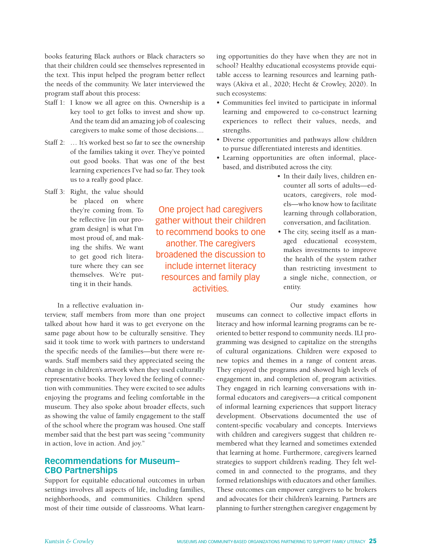books featuring Black authors or Black characters so that their children could see themselves represented in the text. This input helped the program better reflect the needs of the community. We later interviewed the program staff about this process:

- Staff 1: I know we all agree on this. Ownership is a key tool to get folks to invest and show up. And the team did an amazing job of coalescing caregivers to make some of those decisions....
- Staff 2: ... It's worked best so far to see the ownership of the families taking it over. They've pointed out good books. That was one of the best learning experiences I've had so far. They took us to a really good place.

One project had caregivers gather without their children to recommend books to one another. The caregivers broadened the discussion to include internet literacy resources and family play activities.

Staff 3: Right, the value should be placed on where they're coming from. To be reflective [in our program design] is what I'm most proud of, and making the shifts. We want to get good rich literature where they can see themselves. We're putting it in their hands.

In a reflective evaluation in-

terview, staff members from more than one project talked about how hard it was to get everyone on the same page about how to be culturally sensitive. They said it took time to work with partners to understand the specific needs of the families—but there were rewards. Staff members said they appreciated seeing the change in children's artwork when they used culturally representative books. They loved the feeling of connection with communities. They were excited to see adults enjoying the programs and feeling comfortable in the museum. They also spoke about broader effects, such as showing the value of family engagement to the staff of the school where the program was housed. One staff member said that the best part was seeing "community in action, love in action. And joy."

# **Recommendations for Museum– CBO Partnerships**

Support for equitable educational outcomes in urban settings involves all aspects of life, including families, neighborhoods, and communities. Children spend most of their time outside of classrooms. What learning opportunities do they have when they are not in school? Healthy educational ecosystems provide equitable access to learning resources and learning pathways (Akiva et al., 2020; Hecht & Crowley, 2020). In such ecosystems:

- Communities feel invited to participate in informal learning and empowered to co-construct learning experiences to reflect their values, needs, and strengths.
- Diverse opportunities and pathways allow children to pursue differentiated interests and identities.
- Learning opportunities are often informal, placebased, and distributed across the city.
	- In their daily lives, children encounter all sorts of adults—educators, caregivers, role models—who know how to facilitate learning through collaboration, conversation, and facilitation.
	- The city, seeing itself as a managed educational ecosystem, makes investments to improve the health of the system rather than restricting investment to a single niche, connection, or entity.

Our study examines how

museums can connect to collective impact efforts in literacy and how informal learning programs can be reoriented to better respond to community needs. ILI programming was designed to capitalize on the strengths of cultural organizations. Children were exposed to new topics and themes in a range of content areas. They enjoyed the programs and showed high levels of engagement in, and completion of, program activities. They engaged in rich learning conversations with informal educators and caregivers—a critical component of informal learning experiences that support literacy development. Observations documented the use of content-specific vocabulary and concepts. Interviews with children and caregivers suggest that children remembered what they learned and sometimes extended that learning at home. Furthermore, caregivers learned strategies to support children's reading. They felt welcomed in and connected to the programs, and they formed relationships with educators and other families. These outcomes can empower caregivers to be brokers and advocates for their children's learning. Partners are planning to further strengthen caregiver engagement by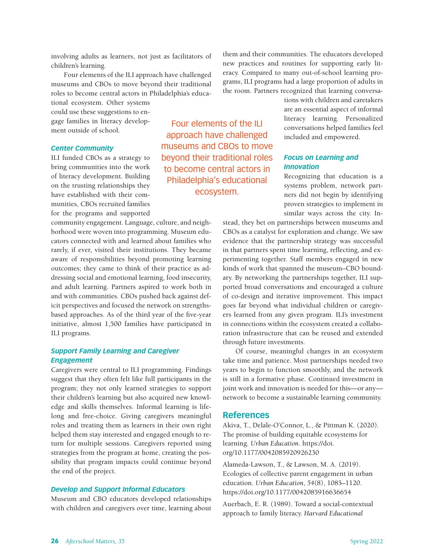involving adults as learners, not just as facilitators of children's learning.

Four elements of the ILI approach have challenged museums and CBOs to move beyond their traditional roles to become central actors in Philadelphia's educa-

tional ecosystem. Other systems could use these suggestions to engage families in literacy development outside of school.

#### *Center Community*

ILI funded CBOs as a strategy to bring communities into the work of literacy development. Building on the trusting relationships they have established with their communities, CBOs recruited families for the programs and supported

community engagement. Language, culture, and neighborhood were woven into programming. Museum educators connected with and learned about families who rarely, if ever, visited their institutions. They became aware of responsibilities beyond promoting learning outcomes; they came to think of their practice as addressing social and emotional learning, food insecurity, and adult learning. Partners aspired to work both in and with communities. CBOs pushed back against deficit perspectives and focused the network on strengthsbased approaches. As of the third year of the five-year initiative, almost 1,500 families have participated in ILI programs.

#### *Support Family Learning and Caregiver Engagement*

Caregivers were central to ILI programming. Findings suggest that they often felt like full participants in the program; they not only learned strategies to support their children's learning but also acquired new knowledge and skills themselves. Informal learning is lifelong and free-choice. Giving caregivers meaningful roles and treating them as learners in their own right helped them stay interested and engaged enough to return for multiple sessions. Caregivers reported using strategies from the program at home, creating the possibility that program impacts could continue beyond the end of the project.

#### *Develop and Support Informal Educators*

Museum and CBO educators developed relationships with children and caregivers over time, learning about

Four elements of the ILI approach have challenged museums and CBOs to move beyond their traditional roles to become central actors in Philadelphia's educational ecosystem.

them and their communities. The educators developed new practices and routines for supporting early literacy. Compared to many out-of-school learning programs, ILI programs had a large proportion of adults in the room. Partners recognized that learning conversa-

> tions with children and caretakers are an essential aspect of informal literacy learning. Personalized conversations helped families feel included and empowered.

#### *Focus on Learning and Innovation*

Recognizing that education is a systems problem, network partners did not begin by identifying proven strategies to implement in similar ways across the city. In-

stead, they bet on partnerships between museums and CBOs as a catalyst for exploration and change. We saw evidence that the partnership strategy was successful in that partners spent time learning, reflecting, and experimenting together. Staff members engaged in new kinds of work that spanned the museum–CBO boundary. By networking the partnerships together, ILI supported broad conversations and encouraged a culture of co-design and iterative improvement. This impact goes far beyond what individual children or caregivers learned from any given program. ILI's investment in connections within the ecosystem created a collaboration infrastructure that can be reused and extended through future investments.

Of course, meaningful changes in an ecosystem take time and patience. Most partnerships needed two years to begin to function smoothly, and the network is still in a formative phase. Continued investment in joint work and innovation is needed for this—or any network to become a sustainable learning community.

#### **References**

Akiva, T., Delale-O'Connor, L., & Pittman K. (2020). The promise of building equitable ecosystems for learning. *Urban Education*. https://doi. org/10.1177/0042085920926230

Alameda-Lawson, T., & Lawson, M. A. (2019). Ecologies of collective parent engagement in urban education. *Urban Education*, *54*(8), 1085–1120. https://doi.org/10.1177/0042085916636654

Auerbach, E. R. (1989). Toward a social-contextual approach to family literacy. *Harvard Educational*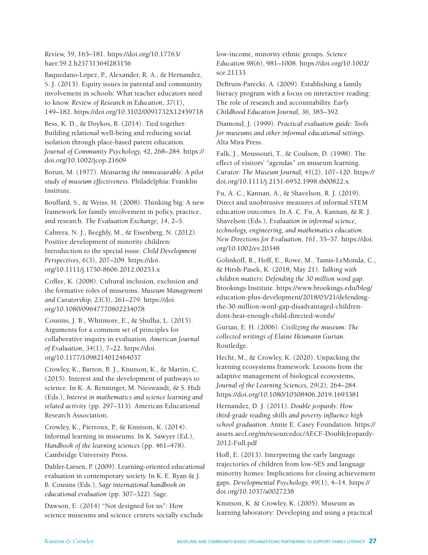*Review, 59*, 165–181. https://doi.org/10.17763/ haer.59.2.h23731364l283156

Baquedano-López, P., Alexander, R. A., & Hernandez, S. J. (2013). Equity issues in parental and community involvement in schools: What teacher educators need to know. *Review of Research in Education*, *37*(1), 149–182. https://doi.org/10.3102/0091732X12459718

Bess, K. D., & Doykos, B. (2014). Tied together: Building relational well-being and reducing social isolation through place-based parent education. *Journal of Community Psychology, 42*, 268–284. https:// doi.org/10.1002/jcop.21609

Borun, M. (1977). *Measuring the immeasurable: A pilot study of museum effectiveness.* Philadelphia: Franklin Institute.

Bouffard, S., & Weiss, H. (2008). Thinking big: A new framework for family involvement in policy, practice, and research. *The Evaluation Exchange*, *14*, 2–5.

Cabrera, N. J., Beeghly, M., & Eisenberg, N. (2012). Positive development of minority children: Introduction to the special issue. *Child Development Perspectives*, *6*(3), 207–209. https://doi. org/10.1111/j.1750-8606.2012.00253.x

Coffee, K. (2008). Cultural inclusion, exclusion and the formative roles of museums. *Museum Management and Curatorship, 23*(3), 261–279. https://doi. org/10.1080/09647770802234078

Cousins, J. B., Whitmore, E., & Shulha, L. (2013). Arguments for a common set of principles for collaborative inquiry in evaluation. *American Journal of Evaluation*, *34*(1), 7–22. https://doi. org/10.1177/1098214012464037

Crowley, K., Barron, B. J., Knutson, K., & Martin, C. (2015). Interest and the development of pathways to science. In K. A. Renninger, M. Nieswandt, & S. Hidi (Eds.), *Interest in mathematics and science learning and related activity* (pp. 297–313). American Educational Research Association.

Crowley, K., Pierroux, P., & Knutson, K. (2014). Informal learning in museums. In K. Sawyer (Ed.), *Handbook of the learning sciences* (pp. 461–478). Cambridge University Press.

Dahler-Larsen, P. (2009). Learning-oriented educational evaluation in contemporary society. In K. E. Ryan & J. B. Cousins (Eds.), *Sage international handbook on educational evaluation* (pp. 307–322). Sage.

Dawson, E. (2014) "Not designed for us": How science museums and science centers socially exclude

low-income, minority ethnic groups. *Science Education 98*(6), 981–1008. https://doi.org/10.1002/ sce.21133

DeBruin-Parecki, A. (2009). Establishing a family literacy program with a focus on interactive reading: The role of research and accountability. *Early Childhood Education Journal, 36,* 385–392.

Diamond, J. (1999). *Practical evaluation guide: Tools for museums and other informal educational settings.*  Alta Mira Press.

Falk, J., Moussouri, T., & Coulson, D. (1998). The effect of visitors' "agendas" on museum learning. *Curator: The Museum Journal, 41*(2), 107–120. https:// doi.org/10.1111/j.2151-6952.1998.tb00822.x

Fu, A. C., Kannan, A., & Shavelson, R. J. (2019). Direct and unobtrusive measures of informal STEM education outcomes. In A. C. Fu, A. Kannan, & R. J. Shavelson (Eds.), *Evaluation in informal science, technology, engineering, and mathematics education. New Directions for Evaluation, 161*, 35–57. https://doi. org/10.1002/ev.20348

Golinkoff, R., Hoff, E., Rowe, M., Tamis-LeMonda, C., & Hirsh-Pasek, K. (2018, May 21). *Talking with children matters: Defending the 30 million word gap.* Brookings Institute. https://www.brookings.edu/blog/ education-plus-development/2018/05/21/defendingthe-30-million-word-gap-disadvantaged-childrendont-hear-enough-child-directed-words/

Gurian, E. H. (2006). *Civilizing the museum: The collected writings of Elaine Heumann Gurian*. Routledge.

Hecht, M., & Crowley, K. (2020). Unpacking the learning ecosystems framework: Lessons from the adaptive management of biological ecosystems, *Journal of the Learning Sciences, 29*(2), 264–284. https://doi.org/10.1080/10508406.2019.1693381

Hernandez, D. J. (2011). *Double jeopardy: How third-grade reading skills and poverty influence high school graduation.* Annie E. Casey Foundation. https:// assets.aecf.org/m/resourcedoc/AECF-DoubleJeopardy-2012-Full.pdf

Hoff, E. (2013). Interpreting the early language trajectories of children from low-SES and language minority homes: Implications for closing achievement gaps. *Developmental Psychology, 49*(1), 4–14. https:// doi.org/10.1037/a0027238

Knutson, K. & Crowley, K. (2005). Museum as learning laboratory: Developing and using a practical